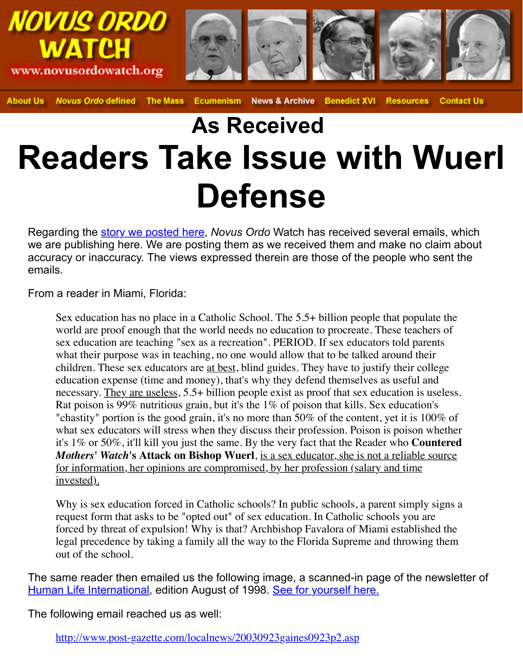## **As Received Readers Take Issue with V Defense**

Regarding the **story we posted here**, *Novus Ordo* Watch has received several emails, which are not appear and the section of  $\theta$ we are publishing here. We are posting them as we received them and make no accuracy or inaccuracy. The views expressed therein are those of the people who emails.

From a reader in Miami, Florida:

Sex education has no place in a Catholic School. The  $5.5+$  billion people that popul world are proof enough that the world needs no education to procreate. These teach sex educa[tion are teaching "sex as](http://novusordowatch.org/story092203.htm) a recreation". PERIOD. If sex educators told par what their purpose was in teaching, no one would allow that to be talked around the children. These sex educators are <u>at best</u>, blind guides. They have to justify their co education expense (time and money), that's why they defend themselves as useful a necessary. They are useless,  $5.5+$  billion people exist as proof that sex education is Rat poison is 99% nutritious grain, but it's the  $1\%$  of poison that kills. Sex education "chastity" portion is the good grain, it's no more than 50% of the content, yet it is  $1<sup>0</sup>$ what sex educators will stress when they discuss their profession. Poison is poison it's 1% or 50%, it'll kill you just the same. By the very fact that the Reader who Counter *Mothers' Watch's* Attack on Bishop Wuerl, is a sex educator, she is not a reliable for information, her opinions are compromised, by her profession (salary and time invested).

Why is sex education forced in Catholic schools? In public schools, a parent simply request form that asks to be "opted out" of sex education. In Catholic schools you a forced by threat of expulsion! Why is that? Archbishop Favalora of Miami established the the legal precedence by taking a family all the way to the Florida Supreme and throwing out of the school.

The same reader then emailed us the following image, a scanned-in page of the Human Life International, edition August of 1998. See for yourself here.

The following email reached us as well:

http://www.post-gazette.com/localnews/20030923gaines0923p2.asp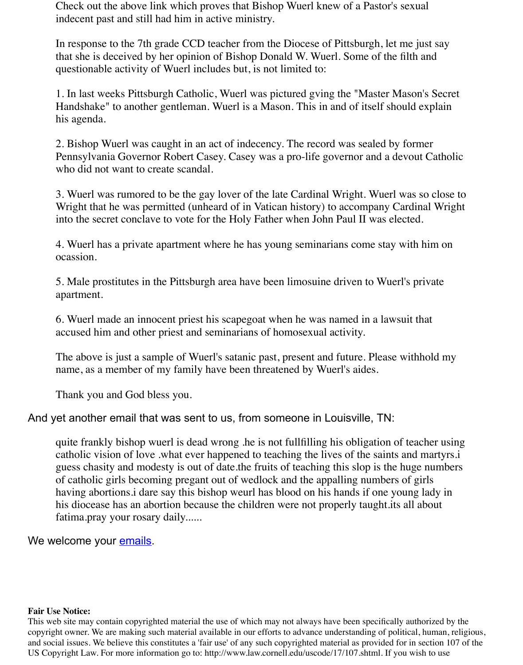his agenda.

2. Bishop Wuerl was caught in an act of indecency. The record was sealed by former Pennsylvania Governor Robert Casey. Casey was a pro-life governor and a devout who did not want to create scandal.

3. Wuerl was rumored to be the gay lover of the late Cardinal Wright. Wuerl was so Wright that he was permitted (unheard of in Vatican history) to accompany Cardina into the secret conclave to vote for the Holy Father when John Paul II was elected.

4. Wuerl has a private apartment where he has young seminarians come stay with h ocassion.

5. Male prostitutes in the Pittsburgh area have been limosuine driven to Wuerl's pri apartment.

6. Wuerl made an innocent priest his scapegoat when he was named in a lawsuit that accused him and other priest and seminarians of homosexual activity.

The above is just a sample of Wuerl's satanic past, present and future. Please withhere name, as a member of my family have been threatened by Wuerl's aides.

Thank you and God bless you.

And yet another email that was sent to us, from someone in Louisville, TN:

quite frankly bishop wuerl is dead wrong .he is not fullfilling his obligation of teach catholic vision of love .what ever happened to teaching the lives of the saints and n guess chasity and modesty is out of date.the fruits of teaching this slop is the huge numbers of catholic girls becoming pregant out of wedlock and the appalling numbers of girls having abortions i dare say this bishop weurl has blood on his hands if one young la his diocease has an abortion because the children were not properly taught its all about fatima.pray your rosary daily......

We welcome your emails.

## **Fair Use Notice:**

This web site may contain copyrighted material the use of which may not always have been specifically autho copyright owner. We are making such material available in our efforts to advance understanding of political, h and social issues. We believe this constitutes a 'fair use' of any such copyrighted material as provided for in se US Copyright Law. For [more infor](mailto:nowatch@novusordowatch.org)mation go to: http://www.law.cornell.edu/uscode/17/107.shtml. If you wish